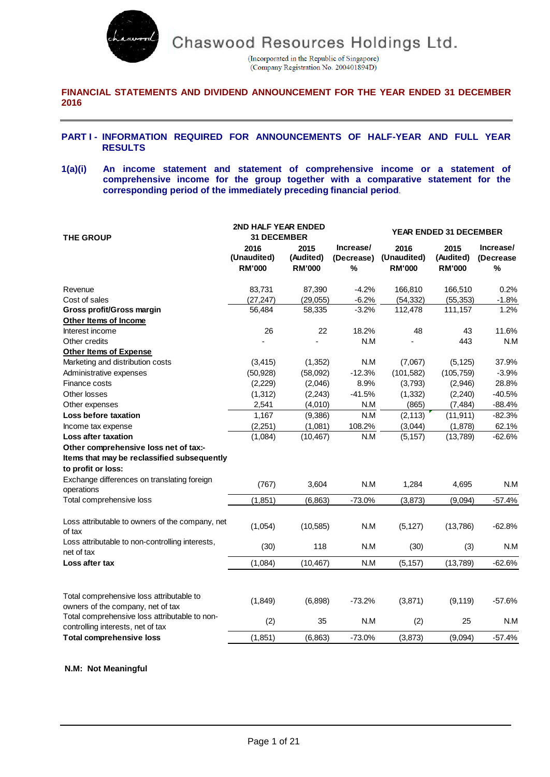

(Incorporated in the Republic of Singapore) (Company Registration No. 200401894D)

### **FINANCIAL STATEMENTS AND DIVIDEND ANNOUNCEMENT FOR THE YEAR ENDED 31 DECEMBER 2016**

### **PART I - INFORMATION REQUIRED FOR ANNOUNCEMENTS OF HALF-YEAR AND FULL YEAR RESULTS**

**1(a)(i) An income statement and statement of comprehensive income or a statement of comprehensive income for the group together with a comparative statement for the corresponding period of the immediately preceding financial period**.

| <b>THE GROUP</b>                                                                   | 2ND HALF YEAR ENDED<br><b>31 DECEMBER</b> |                                    |                              | <b>YEAR ENDED 31 DECEMBER</b>        |                                    |                                 |  |
|------------------------------------------------------------------------------------|-------------------------------------------|------------------------------------|------------------------------|--------------------------------------|------------------------------------|---------------------------------|--|
|                                                                                    | 2016<br>(Unaudited)<br><b>RM'000</b>      | 2015<br>(Audited)<br><b>RM'000</b> | Increase/<br>(Decrease)<br>% | 2016<br>(Unaudited)<br><b>RM'000</b> | 2015<br>(Audited)<br><b>RM'000</b> | Increase/<br>(Decrease)<br>$\%$ |  |
| Revenue                                                                            | 83,731                                    | 87,390                             | $-4.2%$                      | 166,810                              | 166,510                            | 0.2%                            |  |
| Cost of sales                                                                      | (27, 247)                                 | (29,055)                           | $-6.2%$                      | (54, 332)                            | (55, 353)                          | $-1.8%$                         |  |
| Gross profit/Gross margin                                                          | 56,484                                    | 58,335                             | $-3.2%$                      | 112,478                              | 111,157                            | 1.2%                            |  |
| Other Items of Income                                                              |                                           |                                    |                              |                                      |                                    |                                 |  |
| Interest income                                                                    | 26                                        | 22                                 | 18.2%                        | 48                                   | 43                                 | 11.6%                           |  |
| Other credits                                                                      |                                           |                                    | N.M                          |                                      | 443                                | N.M                             |  |
| <b>Other Items of Expense</b>                                                      |                                           |                                    |                              |                                      |                                    |                                 |  |
| Marketing and distribution costs                                                   | (3, 415)                                  | (1, 352)                           | N.M                          | (7,067)                              | (5, 125)                           | 37.9%                           |  |
| Administrative expenses                                                            | (50, 928)                                 | (58,092)                           | $-12.3%$                     | (101, 582)                           | (105, 759)                         | $-3.9%$                         |  |
| Finance costs                                                                      | (2,229)                                   | (2,046)                            | 8.9%                         | (3,793)                              | (2,946)                            | 28.8%                           |  |
| Other losses                                                                       | (1, 312)                                  | (2, 243)                           | $-41.5%$                     | (1, 332)                             | (2, 240)                           | $-40.5%$                        |  |
| Other expenses                                                                     | 2,541                                     | (4,010)                            | N.M                          | (865)                                | (7, 484)                           | $-88.4%$                        |  |
| Loss before taxation                                                               | 1,167                                     | (9,386)                            | N.M                          | (2, 113)                             | (11, 911)                          | $-82.3%$                        |  |
| Income tax expense                                                                 | (2,251)                                   | (1,081)                            | 108.2%                       | (3,044)                              | (1,878)                            | 62.1%                           |  |
| <b>Loss after taxation</b>                                                         | (1,084)                                   | (10, 467)                          | N.M                          | (5, 157)                             | (13,789)                           | $-62.6%$                        |  |
| Other comprehensive loss net of tax:-                                              |                                           |                                    |                              |                                      |                                    |                                 |  |
| Items that may be reclassified subsequently                                        |                                           |                                    |                              |                                      |                                    |                                 |  |
| to profit or loss:                                                                 |                                           |                                    |                              |                                      |                                    |                                 |  |
| Exchange differences on translating foreign<br>operations                          | (767)                                     | 3,604                              | N.M                          | 1,284                                | 4,695                              | N.M                             |  |
| Total comprehensive loss                                                           | (1, 851)                                  | (6, 863)                           | $-73.0%$                     | (3, 873)                             | (9,094)                            | $-57.4%$                        |  |
| Loss attributable to owners of the company, net                                    |                                           |                                    |                              |                                      |                                    |                                 |  |
| of tax                                                                             | (1,054)                                   | (10, 585)                          | N.M                          | (5, 127)                             | (13,786)                           | $-62.8%$                        |  |
| Loss attributable to non-controlling interests,<br>net of tax                      | (30)                                      | 118                                | N.M                          | (30)                                 | (3)                                | N.M                             |  |
| Loss after tax                                                                     | (1,084)                                   | (10, 467)                          | N.M                          | (5, 157)                             | (13,789)                           | $-62.6%$                        |  |
| Total comprehensive loss attributable to<br>owners of the company, net of tax      | (1,849)                                   | (6,898)                            | $-73.2%$                     | (3,871)                              | (9, 119)                           | $-57.6%$                        |  |
| Total comprehensive loss attributable to non-<br>controlling interests, net of tax | (2)                                       | 35                                 | N.M                          | (2)                                  | 25                                 | N.M                             |  |
| <b>Total comprehensive loss</b>                                                    | (1,851)                                   | (6, 863)                           | $-73.0%$                     | (3,873)                              | (9,094)                            | $-57.4%$                        |  |

#### **N.M: Not Meaningful**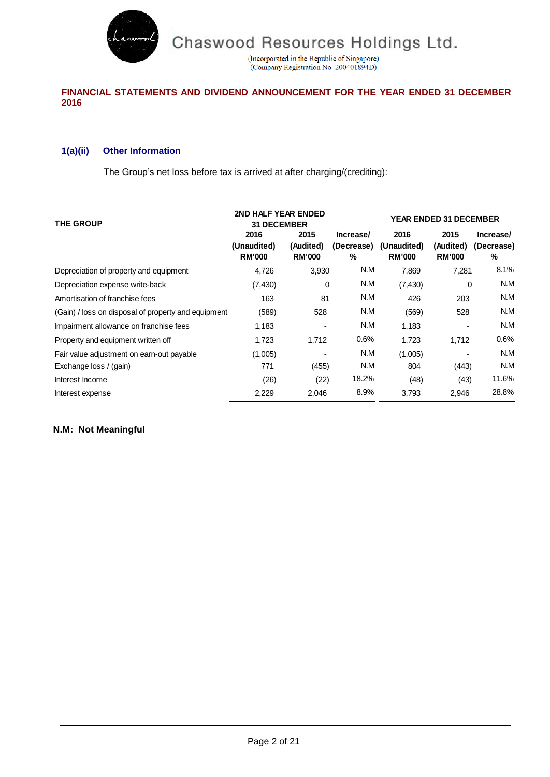

(Incorporated in the Republic of Singapore)<br>(Company Registration No. 200401894D)

# **FINANCIAL STATEMENTS AND DIVIDEND ANNOUNCEMENT FOR THE YEAR ENDED 31 DECEMBER 2016**

# **1(a)(ii) Other Information**

The Group's net loss before tax is arrived at after charging/(crediting):

| <b>THE GROUP</b>                                    | 2ND HALF YEAR ENDED<br><b>31 DECEMBER</b> |                                    |                              |                                      |                                    | <b>YEAR ENDED 31 DECEMBER</b> |  |
|-----------------------------------------------------|-------------------------------------------|------------------------------------|------------------------------|--------------------------------------|------------------------------------|-------------------------------|--|
|                                                     | 2016<br>(Unaudited)<br><b>RM'000</b>      | 2015<br>(Audited)<br><b>RM'000</b> | Increase/<br>(Decrease)<br>% | 2016<br>(Unaudited)<br><b>RM'000</b> | 2015<br>(Audited)<br><b>RM'000</b> | Increase/<br>(Decrease)<br>%  |  |
| Depreciation of property and equipment              | 4,726                                     | 3,930                              | N.M                          | 7,869                                | 7,281                              | 8.1%                          |  |
| Depreciation expense write-back                     | (7, 430)                                  | 0                                  | N.M                          | (7, 430)                             | 0                                  | N.M                           |  |
| Amortisation of franchise fees                      | 163                                       | 81                                 | N.M                          | 426                                  | 203                                | N.M                           |  |
| (Gain) / loss on disposal of property and equipment | (589)                                     | 528                                | N.M                          | (569)                                | 528                                | N.M                           |  |
| Impairment allowance on franchise fees              | 1,183                                     |                                    | N.M                          | 1,183                                |                                    | N.M                           |  |
| Property and equipment written off                  | 1,723                                     | 1,712                              | 0.6%                         | 1,723                                | 1,712                              | 0.6%                          |  |
| Fair value adjustment on earn-out payable           | (1,005)                                   |                                    | N.M                          | (1,005)                              |                                    | N.M                           |  |
| Exchange loss / (gain)                              | 771                                       | (455)                              | N.M                          | 804                                  | (443)                              | N.M                           |  |
| Interest Income                                     | (26)                                      | (22)                               | 18.2%                        | (48)                                 | (43)                               | 11.6%                         |  |
| Interest expense                                    | 2,229                                     | 2,046                              | 8.9%                         | 3,793                                | 2,946                              | 28.8%                         |  |

# **N.M: Not Meaningful**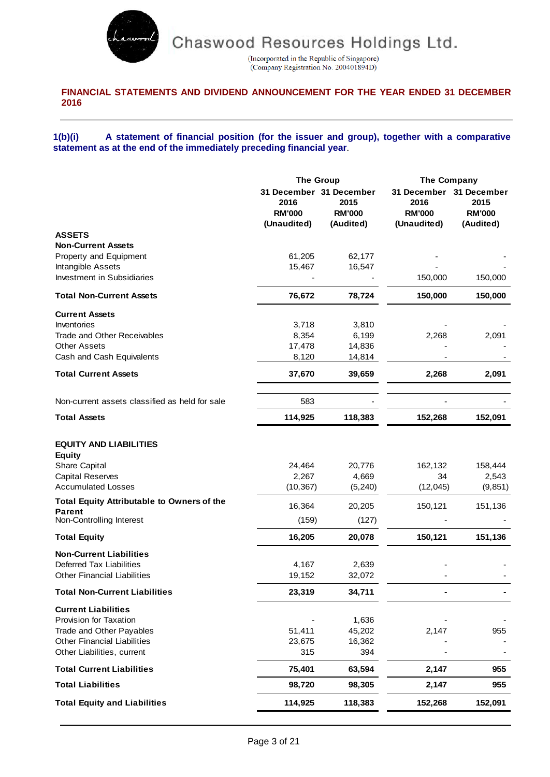

(Incorporated in the Republic of Singapore)<br>(Company Registration No. 200401894D)

# **FINANCIAL STATEMENTS AND DIVIDEND ANNOUNCEMENT FOR THE YEAR ENDED 31 DECEMBER 2016**

### **1(b)(i) A statement of financial position (for the issuer and group), together with a comparative statement as at the end of the immediately preceding financial year**.

|                                                                                                                                                      | <b>The Group</b>                     |                                                               | The Company                                                     |                                    |
|------------------------------------------------------------------------------------------------------------------------------------------------------|--------------------------------------|---------------------------------------------------------------|-----------------------------------------------------------------|------------------------------------|
|                                                                                                                                                      | 2016<br><b>RM'000</b><br>(Unaudited) | 31 December 31 December<br>2015<br><b>RM'000</b><br>(Audited) | 31 December 31 December<br>2016<br><b>RM'000</b><br>(Unaudited) | 2015<br><b>RM'000</b><br>(Audited) |
| <b>ASSETS</b>                                                                                                                                        |                                      |                                                               |                                                                 |                                    |
| <b>Non-Current Assets</b>                                                                                                                            |                                      |                                                               |                                                                 |                                    |
| Property and Equipment                                                                                                                               | 61,205                               | 62,177                                                        |                                                                 |                                    |
| Intangible Assets                                                                                                                                    | 15,467                               | 16,547                                                        |                                                                 |                                    |
| Investment in Subsidiaries                                                                                                                           |                                      |                                                               | 150,000                                                         | 150,000                            |
| <b>Total Non-Current Assets</b>                                                                                                                      | 76,672                               | 78,724                                                        | 150,000                                                         | 150,000                            |
| <b>Current Assets</b>                                                                                                                                |                                      |                                                               |                                                                 |                                    |
| Inventories                                                                                                                                          | 3,718                                | 3,810                                                         |                                                                 |                                    |
| <b>Trade and Other Receivables</b>                                                                                                                   | 8,354                                | 6,199                                                         | 2,268                                                           | 2,091                              |
| <b>Other Assets</b>                                                                                                                                  | 17,478                               | 14,836                                                        |                                                                 |                                    |
| Cash and Cash Equivalents                                                                                                                            | 8,120                                | 14,814                                                        |                                                                 |                                    |
| <b>Total Current Assets</b>                                                                                                                          | 37,670                               | 39,659                                                        | 2,268                                                           | 2,091                              |
| Non-current assets classified as held for sale                                                                                                       | 583                                  |                                                               |                                                                 |                                    |
| <b>Total Assets</b>                                                                                                                                  | 114,925                              | 118,383                                                       | 152,268                                                         | 152,091                            |
| <b>EQUITY AND LIABILITIES</b><br><b>Equity</b><br>Share Capital<br><b>Capital Reserves</b><br><b>Accumulated Losses</b>                              | 24,464<br>2,267<br>(10, 367)         | 20,776<br>4,669<br>(5, 240)                                   | 162,132<br>34<br>(12, 045)                                      | 158,444<br>2,543<br>(9, 851)       |
| <b>Total Equity Attributable to Owners of the</b>                                                                                                    | 16,364                               | 20,205                                                        | 150,121                                                         | 151,136                            |
| Parent<br>Non-Controlling Interest                                                                                                                   | (159)                                | (127)                                                         |                                                                 |                                    |
| <b>Total Equity</b>                                                                                                                                  | 16,205                               | 20,078                                                        | 150,121                                                         | 151,136                            |
| <b>Non-Current Liabilities</b><br><b>Deferred Tax Liabilities</b><br><b>Other Financial Liabilities</b>                                              | 4,167<br>19,152                      | 2,639<br>32,072                                               |                                                                 |                                    |
| <b>Total Non-Current Liabilities</b>                                                                                                                 | 23,319                               | 34,711                                                        |                                                                 |                                    |
| <b>Current Liabilities</b><br>Provision for Taxation<br>Trade and Other Payables<br><b>Other Financial Liabilities</b><br>Other Liabilities, current | 51,411<br>23,675<br>315              | 1,636<br>45,202<br>16,362<br>394                              | 2,147                                                           | 955                                |
| <b>Total Current Liabilities</b>                                                                                                                     | 75,401                               | 63,594                                                        | 2,147                                                           | 955                                |
| <b>Total Liabilities</b>                                                                                                                             | 98,720                               | 98,305                                                        | 2,147                                                           | 955                                |
| <b>Total Equity and Liabilities</b>                                                                                                                  | 114,925                              | 118,383                                                       | 152,268                                                         | 152,091                            |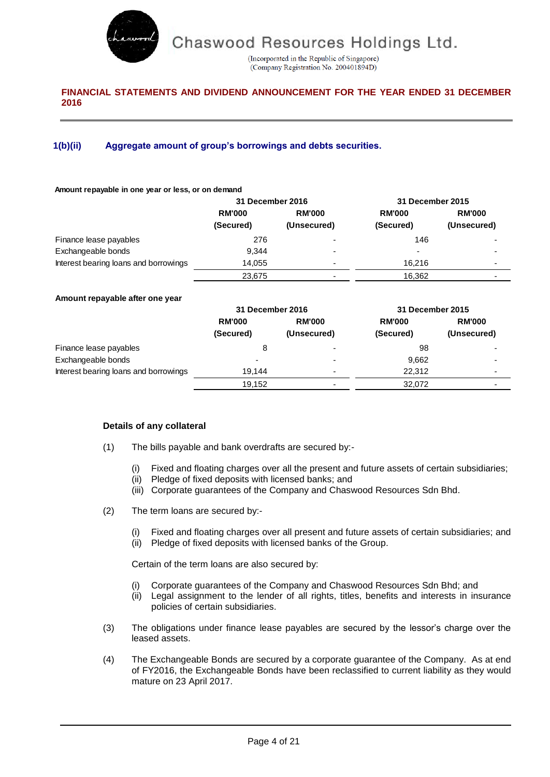

(Incorporated in the Republic of Singapore) (Company Registration No. 200401894D)

# **FINANCIAL STATEMENTS AND DIVIDEND ANNOUNCEMENT FOR THE YEAR ENDED 31 DECEMBER 2016**

# **1(b)(ii) Aggregate amount of group's borrowings and debts securities.**

#### **Amount repayable in one year or less, or on demand**

|                                       | 31 December 2016 |               | 31 December 2015         |                          |
|---------------------------------------|------------------|---------------|--------------------------|--------------------------|
|                                       | <b>RM'000</b>    | <b>RM'000</b> | <b>RM'000</b>            | <b>RM'000</b>            |
|                                       | (Secured)        | (Unsecured)   | (Secured)                | (Unsecured)              |
| Finance lease payables                | 276              |               | 146                      | ۰                        |
| Exchangeable bonds                    | 9.344            | ۰             | $\overline{\phantom{a}}$ | $\overline{\phantom{0}}$ |
| Interest bearing loans and borrowings | 14.055           | -             | 16.216                   | ۰                        |
|                                       | 23,675           |               | 16,362                   |                          |

#### **Amount repayable after one year**

|                                       | 31 December 2016 |                          | 31 December 2015 |                          |
|---------------------------------------|------------------|--------------------------|------------------|--------------------------|
|                                       | <b>RM'000</b>    | <b>RM'000</b>            | <b>RM'000</b>    | <b>RM'000</b>            |
|                                       | (Secured)        | (Unsecured)              | (Secured)        | (Unsecured)              |
| Finance lease payables                | 8                | -                        | 98               | $\overline{\phantom{0}}$ |
| Exchangeable bonds                    | -                | $\overline{\phantom{0}}$ | 9,662            | $\overline{\phantom{0}}$ |
| Interest bearing loans and borrowings | 19.144           | $\overline{\phantom{0}}$ | 22.312           | $\blacksquare$           |
|                                       | 19.152           |                          | 32.072           |                          |

### **Details of any collateral**

- (1) The bills payable and bank overdrafts are secured by:-
	- (i) Fixed and floating charges over all the present and future assets of certain subsidiaries;
	- (ii) Pledge of fixed deposits with licensed banks; and
	- (iii) Corporate guarantees of the Company and Chaswood Resources Sdn Bhd.
- (2) The term loans are secured by:-
	- (i) Fixed and floating charges over all present and future assets of certain subsidiaries; and
	- (ii) Pledge of fixed deposits with licensed banks of the Group.

Certain of the term loans are also secured by:

- (i) Corporate guarantees of the Company and Chaswood Resources Sdn Bhd; and
- (ii) Legal assignment to the lender of all rights, titles, benefits and interests in insurance policies of certain subsidiaries.
- (3) The obligations under finance lease payables are secured by the lessor's charge over the leased assets.
- (4) The Exchangeable Bonds are secured by a corporate guarantee of the Company. As at end of FY2016, the Exchangeable Bonds have been reclassified to current liability as they would mature on 23 April 2017.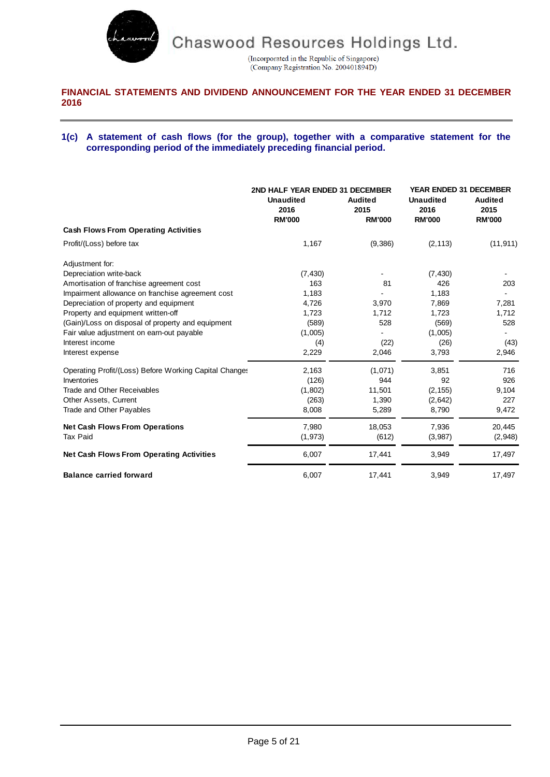

(Incorporated in the Republic of Singapore)<br>(Company Registration No. 200401894D)

# **FINANCIAL STATEMENTS AND DIVIDEND ANNOUNCEMENT FOR THE YEAR ENDED 31 DECEMBER 2016**

### **1(c) A statement of cash flows (for the group), together with a comparative statement for the corresponding period of the immediately preceding financial period.**

|                                                        | 2ND HALF YEAR ENDED 31 DECEMBER<br><b>Unaudited</b><br>2016<br><b>RM'000</b> | <b>Audited</b><br>2015<br><b>RM'000</b> | <b>YEAR ENDED 31 DECEMBER</b><br><b>Unaudited</b><br>2016<br><b>RM'000</b> | <b>Audited</b><br>2015<br><b>RM'000</b> |
|--------------------------------------------------------|------------------------------------------------------------------------------|-----------------------------------------|----------------------------------------------------------------------------|-----------------------------------------|
| <b>Cash Flows From Operating Activities</b>            |                                                                              |                                         |                                                                            |                                         |
| Profit/(Loss) before tax                               | 1,167                                                                        | (9,386)                                 | (2, 113)                                                                   | (11, 911)                               |
| Adjustment for:                                        |                                                                              |                                         |                                                                            |                                         |
| Depreciation write-back                                | (7, 430)                                                                     |                                         | (7, 430)                                                                   |                                         |
| Amortisation of franchise agreement cost               | 163                                                                          | 81                                      | 426                                                                        | 203                                     |
| Impairment allowance on franchise agreement cost       | 1,183                                                                        |                                         | 1,183                                                                      |                                         |
| Depreciation of property and equipment                 | 4,726                                                                        | 3,970                                   | 7,869                                                                      | 7,281                                   |
| Property and equipment written-off                     | 1,723                                                                        | 1,712                                   | 1,723                                                                      | 1,712                                   |
| (Gain)/Loss on disposal of property and equipment      | (589)                                                                        | 528                                     | (569)                                                                      | 528                                     |
| Fair value adjustment on earn-out payable              | (1,005)                                                                      |                                         | (1,005)                                                                    |                                         |
| Interest income                                        | (4)                                                                          | (22)                                    | (26)                                                                       | (43)                                    |
| Interest expense                                       | 2,229                                                                        | 2,046                                   | 3,793                                                                      | 2,946                                   |
| Operating Profit/(Loss) Before Working Capital Changes | 2,163                                                                        | (1,071)                                 | 3,851                                                                      | 716                                     |
| Inventories                                            | (126)                                                                        | 944                                     | 92                                                                         | 926                                     |
| <b>Trade and Other Receivables</b>                     | (1, 802)                                                                     | 11,501                                  | (2, 155)                                                                   | 9,104                                   |
| Other Assets, Current                                  | (263)                                                                        | 1,390                                   | (2,642)                                                                    | 227                                     |
| Trade and Other Payables                               | 8,008                                                                        | 5,289                                   | 8,790                                                                      | 9,472                                   |
| <b>Net Cash Flows From Operations</b>                  | 7,980                                                                        | 18,053                                  | 7,936                                                                      | 20,445                                  |
| <b>Tax Paid</b>                                        | (1, 973)                                                                     | (612)                                   | (3,987)                                                                    | (2,948)                                 |
| <b>Net Cash Flows From Operating Activities</b>        | 6,007                                                                        | 17,441                                  | 3,949                                                                      | 17,497                                  |
| <b>Balance carried forward</b>                         | 6,007                                                                        | 17,441                                  | 3,949                                                                      | 17,497                                  |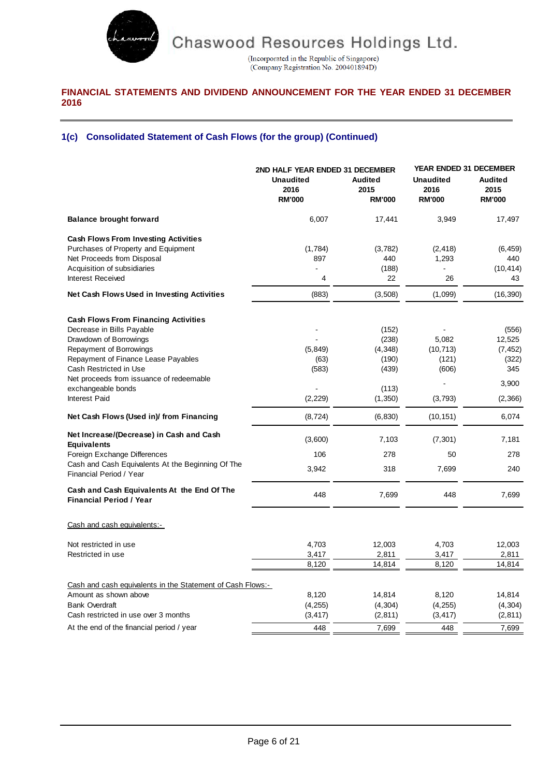

(Incorporated in the Republic of Singapore)<br>(Company Registration No. 200401894D)

# **FINANCIAL STATEMENTS AND DIVIDEND ANNOUNCEMENT FOR THE YEAR ENDED 31 DECEMBER 2016**

# **1(c) Consolidated Statement of Cash Flows (for the group) (Continued)**

|                                                                                                                                                                                                                                                                                          | 2ND HALF YEAR ENDED 31 DECEMBER<br><b>Unaudited</b><br>2016<br><b>RM'000</b> | <b>Audited</b><br>2015<br><b>RM'000</b>                          | <b>YEAR ENDED 31 DECEMBER</b><br><b>Unaudited</b><br>2016<br><b>RM'000</b> | <b>Audited</b><br>2015<br><b>RM'000</b>                         |
|------------------------------------------------------------------------------------------------------------------------------------------------------------------------------------------------------------------------------------------------------------------------------------------|------------------------------------------------------------------------------|------------------------------------------------------------------|----------------------------------------------------------------------------|-----------------------------------------------------------------|
| <b>Balance brought forward</b>                                                                                                                                                                                                                                                           | 6,007                                                                        | 17,441                                                           | 3,949                                                                      | 17,497                                                          |
| <b>Cash Flows From Investing Activities</b><br>Purchases of Property and Equipment<br>Net Proceeds from Disposal<br>Acquisition of subsidiaries<br><b>Interest Received</b>                                                                                                              | (1,784)<br>897<br>4                                                          | (3,782)<br>440<br>(188)<br>22                                    | (2, 418)<br>1,293<br>26                                                    | (6, 459)<br>440<br>(10, 414)<br>43                              |
| Net Cash Flows Used in Investing Activities                                                                                                                                                                                                                                              | (883)                                                                        | (3,508)                                                          | (1,099)                                                                    | (16, 390)                                                       |
| <b>Cash Flows From Financing Activities</b><br>Decrease in Bills Payable<br>Drawdown of Borrowings<br>Repayment of Borrowings<br>Repayment of Finance Lease Payables<br>Cash Restricted in Use<br>Net proceeds from issuance of redeemable<br>exchangeable bonds<br><b>Interest Paid</b> | (5, 849)<br>(63)<br>(583)<br>(2, 229)                                        | (152)<br>(238)<br>(4, 348)<br>(190)<br>(439)<br>(113)<br>(1,350) | 5,082<br>(10, 713)<br>(121)<br>(606)<br>(3,793)                            | (556)<br>12,525<br>(7, 452)<br>(322)<br>345<br>3,900<br>(2,366) |
| Net Cash Flows (Used in)/ from Financing                                                                                                                                                                                                                                                 | (8, 724)                                                                     | (6, 830)                                                         | (10, 151)                                                                  | 6,074                                                           |
| Net Increase/(Decrease) in Cash and Cash<br><b>Equivalents</b><br>Foreign Exchange Differences<br>Cash and Cash Equivalents At the Beginning Of The<br>Financial Period / Year                                                                                                           | (3,600)<br>106<br>3,942                                                      | 7,103<br>278<br>318                                              | (7, 301)<br>50<br>7,699                                                    | 7,181<br>278<br>240                                             |
| Cash and Cash Equivalents At the End Of The<br><b>Financial Period / Year</b>                                                                                                                                                                                                            | 448                                                                          | 7,699                                                            | 448                                                                        | 7,699                                                           |
| Cash and cash equivalents:-                                                                                                                                                                                                                                                              |                                                                              |                                                                  |                                                                            |                                                                 |
| Not restricted in use<br>Restricted in use                                                                                                                                                                                                                                               | 4,703<br>3,417<br>8,120                                                      | 12,003<br>2,811<br>14,814                                        | 4,703<br>3,417<br>8,120                                                    | 12,003<br>2,811<br>14,814                                       |
| Cash and cash equivalents in the Statement of Cash Flows:-<br>Amount as shown above<br><b>Bank Overdraft</b><br>Cash restricted in use over 3 months                                                                                                                                     | 8,120<br>(4, 255)<br>(3, 417)                                                | 14,814<br>(4, 304)<br>(2, 811)                                   | 8,120<br>(4, 255)<br>(3, 417)                                              | 14,814<br>(4, 304)<br>(2, 811)                                  |
| At the end of the financial period / year                                                                                                                                                                                                                                                | 448                                                                          | 7,699                                                            | 448                                                                        | 7,699                                                           |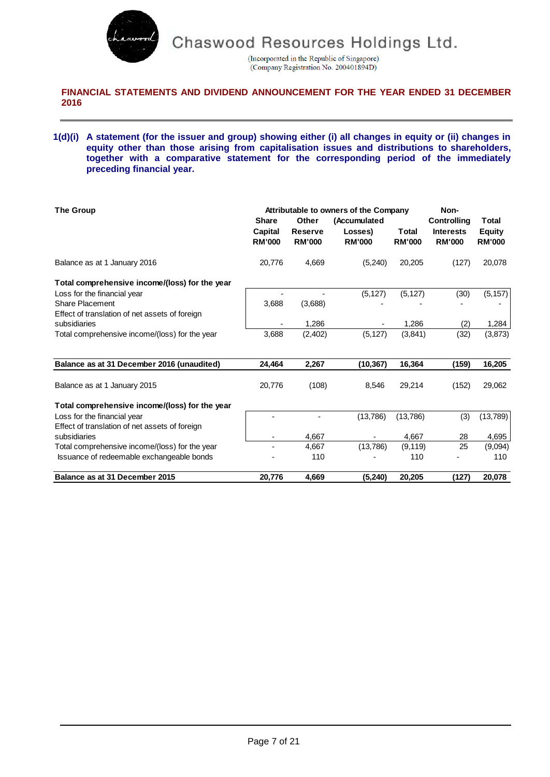

(Incorporated in the Republic of Singapore) (Company Registration No. 200401894D)

## **FINANCIAL STATEMENTS AND DIVIDEND ANNOUNCEMENT FOR THE YEAR ENDED 31 DECEMBER 2016**

### **1(d)(i) A statement (for the issuer and group) showing either (i) all changes in equity or (ii) changes in equity other than those arising from capitalisation issues and distributions to shareholders, together with a comparative statement for the corresponding period of the immediately preceding financial year.**

| <b>The Group</b>                               | Attributable to owners of the Company<br><b>Share</b><br>Other<br><i>(Accumulated)</i> |                                 |                          |                        | Non-<br><b>Controlling</b>        | Total                          |
|------------------------------------------------|----------------------------------------------------------------------------------------|---------------------------------|--------------------------|------------------------|-----------------------------------|--------------------------------|
|                                                | Capital<br><b>RM'000</b>                                                               | <b>Reserve</b><br><b>RM'000</b> | Losses)<br><b>RM'000</b> | Total<br><b>RM'000</b> | <b>Interests</b><br><b>RM'000</b> | <b>Equity</b><br><b>RM'000</b> |
| Balance as at 1 January 2016                   | 20,776                                                                                 | 4,669                           | (5,240)                  | 20,205                 | (127)                             | 20,078                         |
| Total comprehensive income/(loss) for the year |                                                                                        |                                 |                          |                        |                                   |                                |
| Loss for the financial year                    |                                                                                        |                                 | (5, 127)                 | (5, 127)               | (30)                              | (5, 157)                       |
| <b>Share Placement</b>                         | 3,688                                                                                  | (3,688)                         |                          |                        |                                   |                                |
| Effect of translation of net assets of foreign |                                                                                        |                                 |                          |                        |                                   |                                |
| subsidiaries                                   |                                                                                        | 1.286                           |                          | 1,286                  | (2)                               | 1,284                          |
| Total comprehensive income/(loss) for the year | 3,688                                                                                  | (2,402)                         | (5, 127)                 | (3,841)                | (32)                              | (3,873)                        |
| Balance as at 31 December 2016 (unaudited)     | 24,464                                                                                 | 2,267                           | (10,367)                 | 16,364                 | (159)                             | 16,205                         |
| Balance as at 1 January 2015                   | 20,776                                                                                 | (108)                           | 8,546                    | 29,214                 | (152)                             | 29,062                         |
| Total comprehensive income/(loss) for the year |                                                                                        |                                 |                          |                        |                                   |                                |
| Loss for the financial year                    |                                                                                        |                                 | (13,786)                 | (13,786)               | (3)                               | (13, 789)                      |
| Effect of translation of net assets of foreign |                                                                                        |                                 |                          |                        |                                   |                                |
| subsidiaries                                   | ٠                                                                                      | 4,667                           | $\overline{\phantom{a}}$ | 4.667                  | 28                                | 4,695                          |
| Total comprehensive income/(loss) for the year |                                                                                        | 4,667                           | (13,786)                 | (9, 119)               | 25                                | (9,094)                        |
| Issuance of redeemable exchangeable bonds      |                                                                                        | 110                             |                          | 110                    |                                   | 110                            |
| Balance as at 31 December 2015                 | 20,776                                                                                 | 4,669                           | (5,240)                  | 20,205                 | (127)                             | 20,078                         |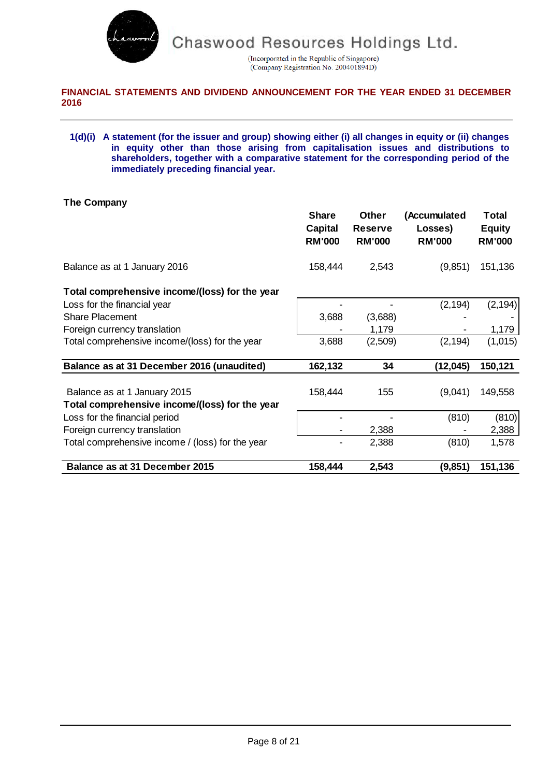

(Incorporated in the Republic of Singapore) (Company Registration No. 200401894D)

# **FINANCIAL STATEMENTS AND DIVIDEND ANNOUNCEMENT FOR THE YEAR ENDED 31 DECEMBER 2016**

### **1(d)(i) A statement (for the issuer and group) showing either (i) all changes in equity or (ii) changes in equity other than those arising from capitalisation issues and distributions to shareholders, together with a comparative statement for the corresponding period of the immediately preceding financial year.**

# **The Company**

|                                                  | <b>Share</b><br><b>Capital</b><br><b>RM'000</b> | <b>Other</b><br><b>Reserve</b><br><b>RM'000</b> | (Accumulated<br>Losses)<br><b>RM'000</b> | <b>Total</b><br><b>Equity</b><br><b>RM'000</b> |
|--------------------------------------------------|-------------------------------------------------|-------------------------------------------------|------------------------------------------|------------------------------------------------|
| Balance as at 1 January 2016                     | 158,444                                         | 2,543                                           | (9,851)                                  | 151,136                                        |
| Total comprehensive income/(loss) for the year   |                                                 |                                                 |                                          |                                                |
| Loss for the financial year                      |                                                 |                                                 | (2, 194)                                 | (2, 194)                                       |
| <b>Share Placement</b>                           | 3,688                                           | (3,688)                                         |                                          |                                                |
| Foreign currency translation                     |                                                 | 1,179                                           |                                          | 1,179                                          |
| Total comprehensive income/(loss) for the year   | 3,688                                           | (2,509)                                         | (2, 194)                                 | (1,015)                                        |
| Balance as at 31 December 2016 (unaudited)       | 162,132                                         | 34                                              | (12, 045)                                | 150,121                                        |
| Balance as at 1 January 2015                     | 158,444                                         | 155                                             | (9,041)                                  | 149,558                                        |
| Total comprehensive income/(loss) for the year   |                                                 |                                                 |                                          |                                                |
| Loss for the financial period                    |                                                 |                                                 | (810)                                    | (810)                                          |
| Foreign currency translation                     |                                                 | 2,388                                           |                                          | 2,388                                          |
| Total comprehensive income / (loss) for the year |                                                 | 2,388                                           | (810)                                    | 1,578                                          |
| Balance as at 31 December 2015                   | 158,444                                         | 2,543                                           | (9, 851)                                 | 151,136                                        |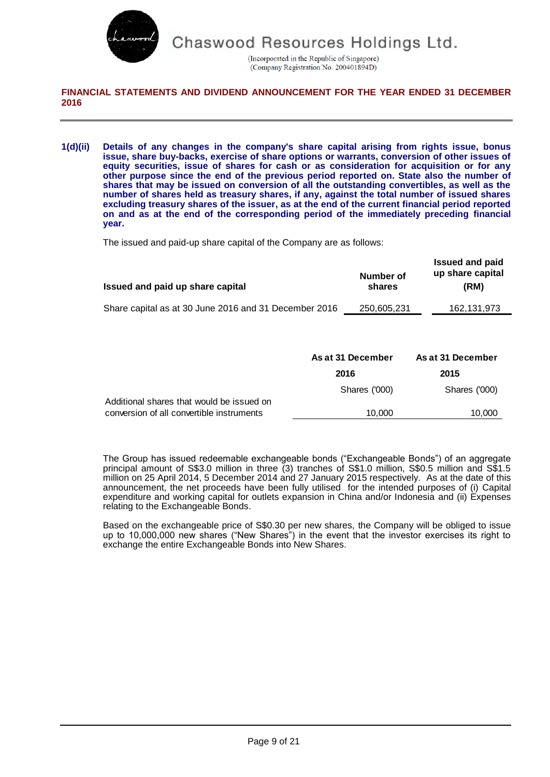

(Incorporated in the Republic of Singapore) (Company Registration No. 200401894D)

## **FINANCIAL STATEMENTS AND DIVIDEND ANNOUNCEMENT FOR THE YEAR ENDED 31 DECEMBER 2016**

**1(d)(ii) Details of any changes in the company's share capital arising from rights issue, bonus issue, share buy-backs, exercise of share options or warrants, conversion of other issues of equity securities, issue of shares for cash or as consideration for acquisition or for any other purpose since the end of the previous period reported on. State also the number of shares that may be issued on conversion of all the outstanding convertibles, as well as the number of shares held as treasury shares, if any, against the total number of issued shares excluding treasury shares of the issuer, as at the end of the current financial period reported on and as at the end of the corresponding period of the immediately preceding financial year.**

The issued and paid-up share capital of the Company are as follows:

| Issued and paid up share capital                      | Number of<br>shares | <b>Issued and paid</b><br>up share capital<br>(RM) |
|-------------------------------------------------------|---------------------|----------------------------------------------------|
| Share capital as at 30 June 2016 and 31 December 2016 | 250,605,231         | 162,131,973                                        |
|                                                       |                     |                                                    |

|                                           | As at 31 December | As at 31 December |
|-------------------------------------------|-------------------|-------------------|
|                                           | 2016              | 2015              |
|                                           | Shares ('000)     | Shares ('000)     |
| Additional shares that would be issued on |                   |                   |
| conversion of all convertible instruments | 10.000            | 10,000            |

The Group has issued redeemable exchangeable bonds ("Exchangeable Bonds") of an aggregate principal amount of S\$3.0 million in three (3) tranches of S\$1.0 million, S\$0.5 million and S\$1.5 million on 25 April 2014, 5 December 2014 and 27 January 2015 respectively. As at the date of this announcement, the net proceeds have been fully utilised for the intended purposes of (i) Capital expenditure and working capital for outlets expansion in China and/or Indonesia and (ii) Expenses relating to the Exchangeable Bonds.

Based on the exchangeable price of S\$0.30 per new shares, the Company will be obliged to issue up to 10,000,000 new shares ("New Shares") in the event that the investor exercises its right to exchange the entire Exchangeable Bonds into New Shares.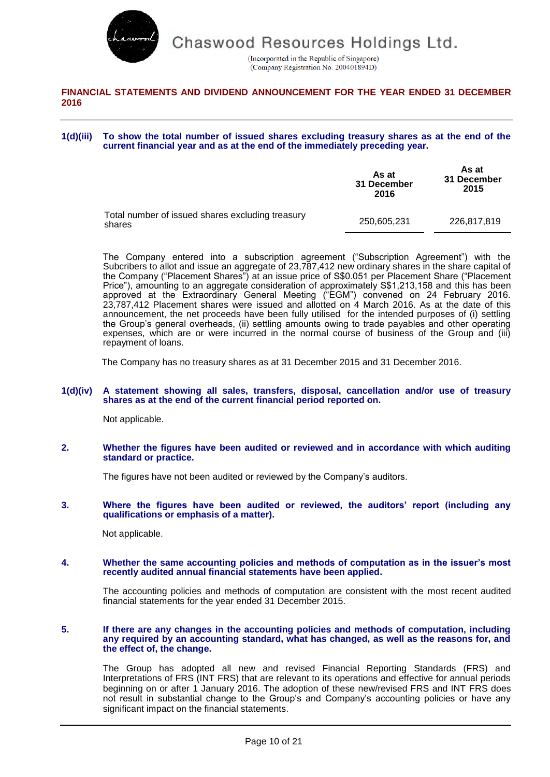

(Incorporated in the Republic of Singapore) (Company Registration No. 200401894D)

## **FINANCIAL STATEMENTS AND DIVIDEND ANNOUNCEMENT FOR THE YEAR ENDED 31 DECEMBER 2016**

**1(d)(iii) To show the total number of issued shares excluding treasury shares as at the end of the current financial year and as at the end of the immediately preceding year.**

|                                                            | As at<br>31 December<br>2016 | As at<br>31 December<br>2015 |
|------------------------------------------------------------|------------------------------|------------------------------|
| Total number of issued shares excluding treasury<br>shares | 250.605.231                  | 226,817,819                  |

The Company entered into a subscription agreement ("Subscription Agreement") with the Subcribers to allot and issue an aggregate of 23,787,412 new ordinary shares in the share capital of the Company ("Placement Shares") at an issue price of S\$0.051 per Placement Share ("Placement Price"), amounting to an aggregate consideration of approximately S\$1,213,158 and this has been approved at the Extraordinary General Meeting ("EGM") convened on 24 February 2016. 23,787,412 Placement shares were issued and allotted on 4 March 2016. As at the date of this announcement, the net proceeds have been fully utilised for the intended purposes of (i) settling the Group's general overheads, (ii) settling amounts owing to trade payables and other operating expenses, which are or were incurred in the normal course of business of the Group and (iii) repayment of loans.

The Company has no treasury shares as at 31 December 2015 and 31 December 2016.

#### **1(d)(iv) A statement showing all sales, transfers, disposal, cancellation and/or use of treasury shares as at the end of the current financial period reported on.**

Not applicable.

**2. Whether the figures have been audited or reviewed and in accordance with which auditing standard or practice.**

The figures have not been audited or reviewed by the Company's auditors.

#### **3. Where the figures have been audited or reviewed, the auditors' report (including any qualifications or emphasis of a matter).**

Not applicable.

#### **4. Whether the same accounting policies and methods of computation as in the issuer's most recently audited annual financial statements have been applied.**

The accounting policies and methods of computation are consistent with the most recent audited financial statements for the year ended 31 December 2015.

#### **5. If there are any changes in the accounting policies and methods of computation, including any required by an accounting standard, what has changed, as well as the reasons for, and the effect of, the change.**

The Group has adopted all new and revised Financial Reporting Standards (FRS) and Interpretations of FRS (INT FRS) that are relevant to its operations and effective for annual periods beginning on or after 1 January 2016. The adoption of these new/revised FRS and INT FRS does not result in substantial change to the Group's and Company's accounting policies or have any significant impact on the financial statements.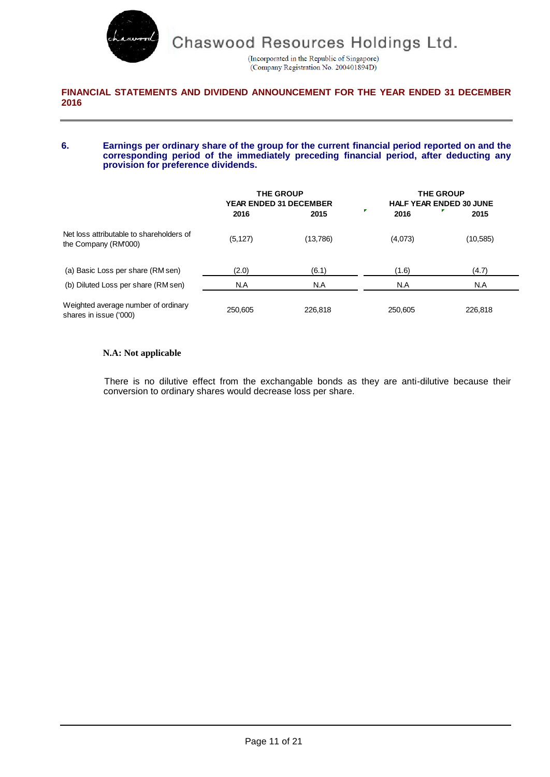

(Incorporated in the Republic of Singapore) (Company Registration No. 200401894D)

### **FINANCIAL STATEMENTS AND DIVIDEND ANNOUNCEMENT FOR THE YEAR ENDED 31 DECEMBER 2016**

#### **6. Earnings per ordinary share of the group for the current financial period reported on and the corresponding period of the immediately preceding financial period, after deducting any provision for preference dividends.**

|                                                                  | <b>THE GROUP</b><br><b>YEAR ENDED 31 DECEMBER</b> | <b>THE GROUP</b><br><b>HALF YEAR ENDED 30 JUNE</b> |         |           |
|------------------------------------------------------------------|---------------------------------------------------|----------------------------------------------------|---------|-----------|
|                                                                  | 2016                                              | 2015                                               | 2016    | 2015      |
| Net loss attributable to shareholders of<br>the Company (RM'000) | (5, 127)                                          | (13,786)                                           | (4,073) | (10, 585) |
| (a) Basic Loss per share (RM sen)                                | (2.0)                                             | (6.1)                                              | (1.6)   | (4.7)     |
| (b) Diluted Loss per share (RM sen)                              | N.A                                               | N.A                                                | N.A     | N.A       |
| Weighted average number of ordinary<br>shares in issue ('000)    | 250.605                                           | 226,818                                            | 250.605 | 226,818   |

### **N.A: Not applicable**

There is no dilutive effect from the exchangable bonds as they are anti-dilutive because their conversion to ordinary shares would decrease loss per share.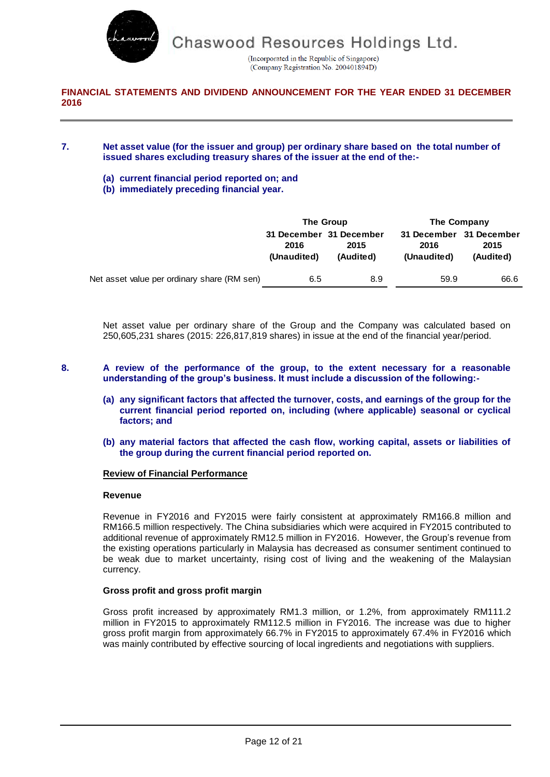

(Incorporated in the Republic of Singapore) (Company Registration No. 200401894D)

## **FINANCIAL STATEMENTS AND DIVIDEND ANNOUNCEMENT FOR THE YEAR ENDED 31 DECEMBER 2016**

### **7. Net asset value (for the issuer and group) per ordinary share based on the total number of issued shares excluding treasury shares of the issuer at the end of the:-**

- **(a) current financial period reported on; and**
- **(b) immediately preceding financial year.**

|                                             |                     | The Group                                    | The Company                                    |                   |  |
|---------------------------------------------|---------------------|----------------------------------------------|------------------------------------------------|-------------------|--|
|                                             | 2016<br>(Unaudited) | 31 December 31 December<br>2015<br>(Audited) | 31 December 31 December<br>2016<br>(Unaudited) | 2015<br>(Audited) |  |
| Net asset value per ordinary share (RM sen) | 6.5                 | 8.9                                          | 59.9                                           | 66.6              |  |

Net asset value per ordinary share of the Group and the Company was calculated based on 250,605,231 shares (2015: 226,817,819 shares) in issue at the end of the financial year/period.

- **8. A review of the performance of the group, to the extent necessary for a reasonable understanding of the group's business. It must include a discussion of the following:-**
	- **(a) any significant factors that affected the turnover, costs, and earnings of the group for the current financial period reported on, including (where applicable) seasonal or cyclical factors; and**
	- **(b) any material factors that affected the cash flow, working capital, assets or liabilities of the group during the current financial period reported on.**

### **Review of Financial Performance**

### **Revenue**

Revenue in FY2016 and FY2015 were fairly consistent at approximately RM166.8 million and RM166.5 million respectively. The China subsidiaries which were acquired in FY2015 contributed to additional revenue of approximately RM12.5 million in FY2016. However, the Group's revenue from the existing operations particularly in Malaysia has decreased as consumer sentiment continued to be weak due to market uncertainty, rising cost of living and the weakening of the Malaysian currency.

### **Gross profit and gross profit margin**

Gross profit increased by approximately RM1.3 million, or 1.2%, from approximately RM111.2 million in FY2015 to approximately RM112.5 million in FY2016. The increase was due to higher gross profit margin from approximately 66.7% in FY2015 to approximately 67.4% in FY2016 which was mainly contributed by effective sourcing of local ingredients and negotiations with suppliers.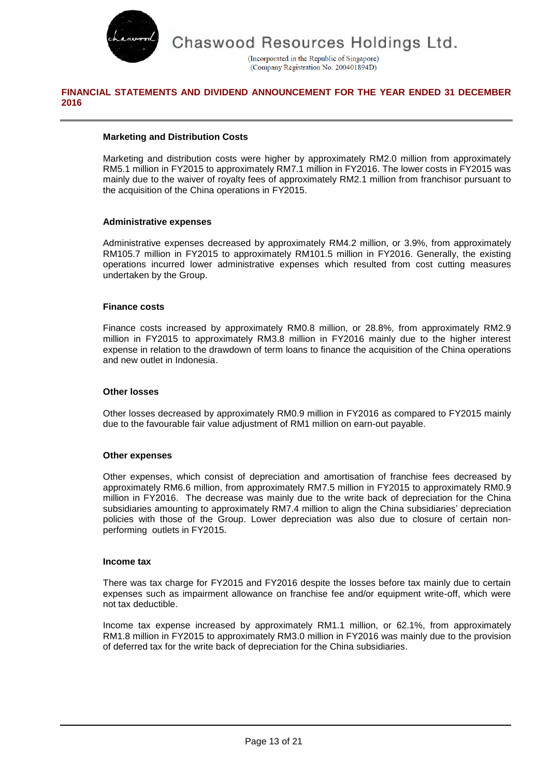

(Incorporated in the Republic of Singapore) (Company Registration No. 200401894D)

## **FINANCIAL STATEMENTS AND DIVIDEND ANNOUNCEMENT FOR THE YEAR ENDED 31 DECEMBER 2016**

### **Marketing and Distribution Costs**

Marketing and distribution costs were higher by approximately RM2.0 million from approximately RM5.1 million in FY2015 to approximately RM7.1 million in FY2016. The lower costs in FY2015 was mainly due to the waiver of royalty fees of approximately RM2.1 million from franchisor pursuant to the acquisition of the China operations in FY2015.

### **Administrative expenses**

Administrative expenses decreased by approximately RM4.2 million, or 3.9%, from approximately RM105.7 million in FY2015 to approximately RM101.5 million in FY2016. Generally, the existing operations incurred lower administrative expenses which resulted from cost cutting measures undertaken by the Group.

### **Finance costs**

Finance costs increased by approximately RM0.8 million, or 28.8%, from approximately RM2.9 million in FY2015 to approximately RM3.8 million in FY2016 mainly due to the higher interest expense in relation to the drawdown of term loans to finance the acquisition of the China operations and new outlet in Indonesia.

### **Other losses**

Other losses decreased by approximately RM0.9 million in FY2016 as compared to FY2015 mainly due to the favourable fair value adjustment of RM1 million on earn-out payable.

### **Other expenses**

Other expenses, which consist of depreciation and amortisation of franchise fees decreased by approximately RM6.6 million, from approximately RM7.5 million in FY2015 to approximately RM0.9 million in FY2016. The decrease was mainly due to the write back of depreciation for the China subsidiaries amounting to approximately RM7.4 million to align the China subsidiaries' depreciation policies with those of the Group. Lower depreciation was also due to closure of certain nonperforming outlets in FY2015.

### **Income tax**

There was tax charge for FY2015 and FY2016 despite the losses before tax mainly due to certain expenses such as impairment allowance on franchise fee and/or equipment write-off, which were not tax deductible.

Income tax expense increased by approximately RM1.1 million, or 62.1%, from approximately RM1.8 million in FY2015 to approximately RM3.0 million in FY2016 was mainly due to the provision of deferred tax for the write back of depreciation for the China subsidiaries.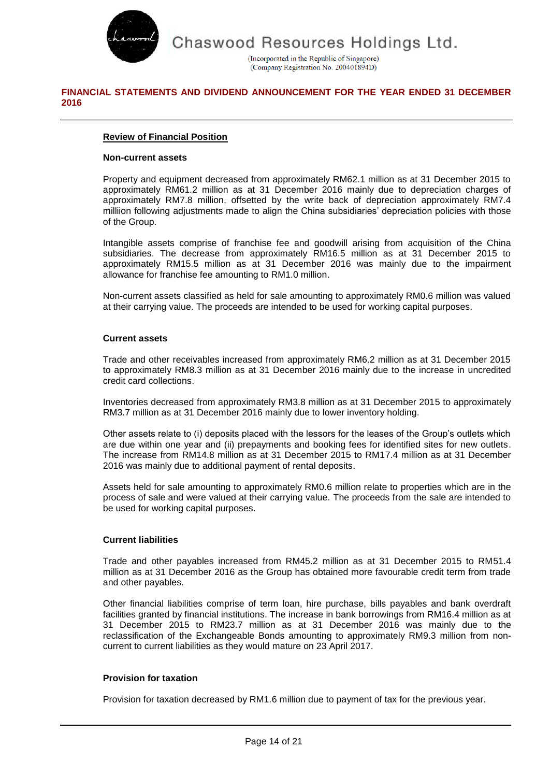

(Incorporated in the Republic of Singapore) (Company Registration No. 200401894D)

## **FINANCIAL STATEMENTS AND DIVIDEND ANNOUNCEMENT FOR THE YEAR ENDED 31 DECEMBER 2016**

## **Review of Financial Position**

### **Non-current assets**

Property and equipment decreased from approximately RM62.1 million as at 31 December 2015 to approximately RM61.2 million as at 31 December 2016 mainly due to depreciation charges of approximately RM7.8 million, offsetted by the write back of depreciation approximately RM7.4 milliion following adjustments made to align the China subsidiaries' depreciation policies with those of the Group.

Intangible assets comprise of franchise fee and goodwill arising from acquisition of the China subsidiaries. The decrease from approximately RM16.5 million as at 31 December 2015 to approximately RM15.5 million as at 31 December 2016 was mainly due to the impairment allowance for franchise fee amounting to RM1.0 million.

Non-current assets classified as held for sale amounting to approximately RM0.6 million was valued at their carrying value. The proceeds are intended to be used for working capital purposes.

### **Current assets**

Trade and other receivables increased from approximately RM6.2 million as at 31 December 2015 to approximately RM8.3 million as at 31 December 2016 mainly due to the increase in uncredited credit card collections.

Inventories decreased from approximately RM3.8 million as at 31 December 2015 to approximately RM3.7 million as at 31 December 2016 mainly due to lower inventory holding.

Other assets relate to (i) deposits placed with the lessors for the leases of the Group's outlets which are due within one year and (ii) prepayments and booking fees for identified sites for new outlets. The increase from RM14.8 million as at 31 December 2015 to RM17.4 million as at 31 December 2016 was mainly due to additional payment of rental deposits.

Assets held for sale amounting to approximately RM0.6 million relate to properties which are in the process of sale and were valued at their carrying value. The proceeds from the sale are intended to be used for working capital purposes.

## **Current liabilities**

Trade and other payables increased from RM45.2 million as at 31 December 2015 to RM51.4 million as at 31 December 2016 as the Group has obtained more favourable credit term from trade and other payables.

Other financial liabilities comprise of term loan, hire purchase, bills payables and bank overdraft facilities granted by financial institutions. The increase in bank borrowings from RM16.4 million as at 31 December 2015 to RM23.7 million as at 31 December 2016 was mainly due to the reclassification of the Exchangeable Bonds amounting to approximately RM9.3 million from noncurrent to current liabilities as they would mature on 23 April 2017.

### **Provision for taxation**

Provision for taxation decreased by RM1.6 million due to payment of tax for the previous year.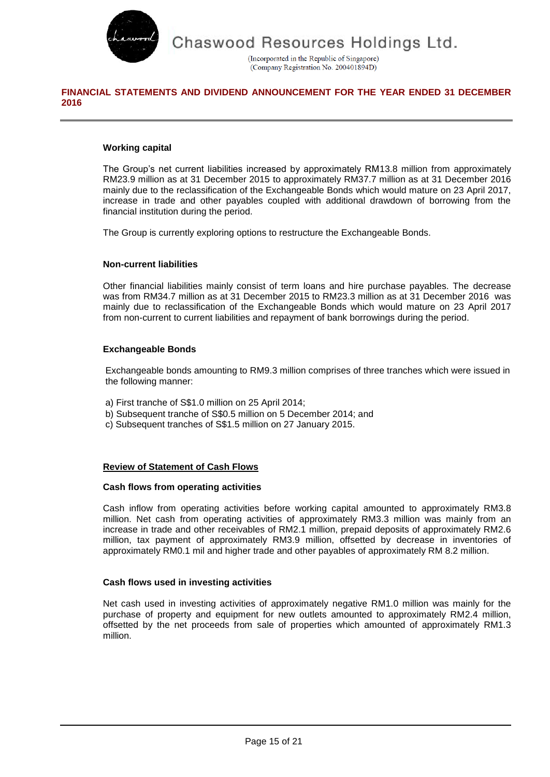

(Incorporated in the Republic of Singapore) (Company Registration No. 200401894D)

# **FINANCIAL STATEMENTS AND DIVIDEND ANNOUNCEMENT FOR THE YEAR ENDED 31 DECEMBER 2016**

### **Working capital**

The Group's net current liabilities increased by approximately RM13.8 million from approximately RM23.9 million as at 31 December 2015 to approximately RM37.7 million as at 31 December 2016 mainly due to the reclassification of the Exchangeable Bonds which would mature on 23 April 2017, increase in trade and other payables coupled with additional drawdown of borrowing from the financial institution during the period.

The Group is currently exploring options to restructure the Exchangeable Bonds.

### **Non-current liabilities**

Other financial liabilities mainly consist of term loans and hire purchase payables. The decrease was from RM34.7 million as at 31 December 2015 to RM23.3 million as at 31 December 2016 was mainly due to reclassification of the Exchangeable Bonds which would mature on 23 April 2017 from non-current to current liabilities and repayment of bank borrowings during the period.

### **Exchangeable Bonds**

Exchangeable bonds amounting to RM9.3 million comprises of three tranches which were issued in the following manner:

- a) First tranche of S\$1.0 million on 25 April 2014;
- b) Subsequent tranche of S\$0.5 million on 5 December 2014; and
- c) Subsequent tranches of S\$1.5 million on 27 January 2015.

## **Review of Statement of Cash Flows**

### **Cash flows from operating activities**

Cash inflow from operating activities before working capital amounted to approximately RM3.8 million. Net cash from operating activities of approximately RM3.3 million was mainly from an increase in trade and other receivables of RM2.1 million, prepaid deposits of approximately RM2.6 million, tax payment of approximately RM3.9 million, offsetted by decrease in inventories of approximately RM0.1 mil and higher trade and other payables of approximately RM 8.2 million.

### **Cash flows used in investing activities**

Net cash used in investing activities of approximately negative RM1.0 million was mainly for the purchase of property and equipment for new outlets amounted to approximately RM2.4 million, offsetted by the net proceeds from sale of properties which amounted of approximately RM1.3 million.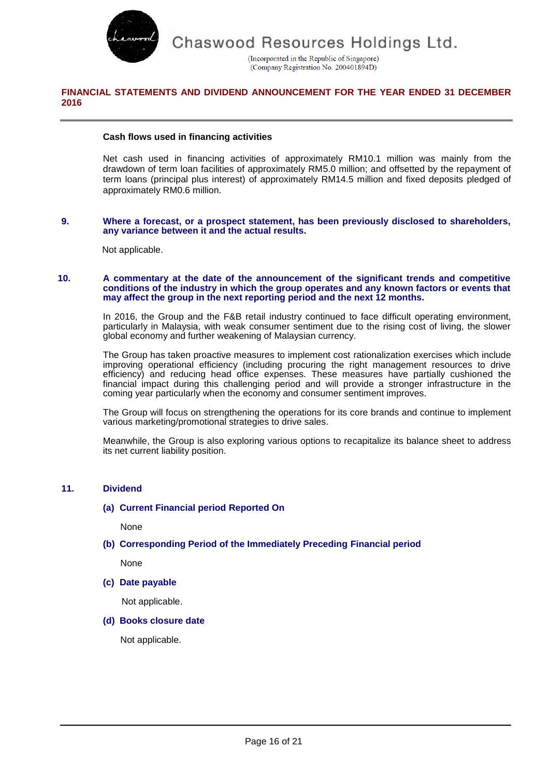

(Incorporated in the Republic of Singapore) (Company Registration No. 200401894D)

## **FINANCIAL STATEMENTS AND DIVIDEND ANNOUNCEMENT FOR THE YEAR ENDED 31 DECEMBER 2016**

### **Cash flows used in financing activities**

Net cash used in financing activities of approximately RM10.1 million was mainly from the drawdown of term loan facilities of approximately RM5.0 million; and offsetted by the repayment of term loans (principal plus interest) of approximately RM14.5 million and fixed deposits pledged of approximately RM0.6 million.

#### **9. Where a forecast, or a prospect statement, has been previously disclosed to shareholders, any variance between it and the actual results.**

Not applicable.

#### **10. A commentary at the date of the announcement of the significant trends and competitive conditions of the industry in which the group operates and any known factors or events that may affect the group in the next reporting period and the next 12 months.**

In 2016, the Group and the F&B retail industry continued to face difficult operating environment, particularly in Malaysia, with weak consumer sentiment due to the rising cost of living, the slower global economy and further weakening of Malaysian currency.

The Group has taken proactive measures to implement cost rationalization exercises which include improving operational efficiency (including procuring the right management resources to drive efficiency) and reducing head office expenses. These measures have partially cushioned the financial impact during this challenging period and will provide a stronger infrastructure in the coming year particularly when the economy and consumer sentiment improves.

The Group will focus on strengthening the operations for its core brands and continue to implement various marketing/promotional strategies to drive sales.

Meanwhile, the Group is also exploring various options to recapitalize its balance sheet to address its net current liability position.

### **11. Dividend**

### **(a) Current Financial period Reported On**

None

**(b) Corresponding Period of the Immediately Preceding Financial period**

None

**(c) Date payable**

Not applicable.

### **(d) Books closure date**

Not applicable.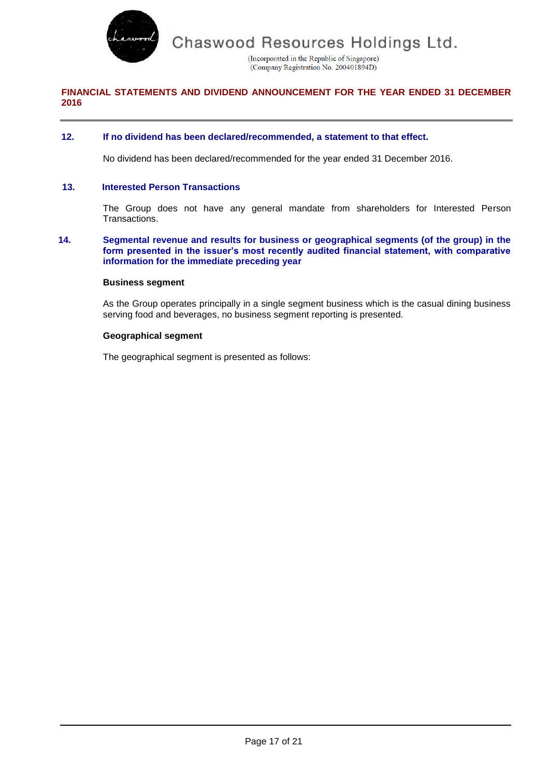

(Incorporated in the Republic of Singapore) (Company Registration No. 200401894D)

# **FINANCIAL STATEMENTS AND DIVIDEND ANNOUNCEMENT FOR THE YEAR ENDED 31 DECEMBER 2016**

### **12. If no dividend has been declared/recommended, a statement to that effect.**

No dividend has been declared/recommended for the year ended 31 December 2016.

### **13. Interested Person Transactions**

The Group does not have any general mandate from shareholders for Interested Person Transactions.

#### **14. Segmental revenue and results for business or geographical segments (of the group) in the form presented in the issuer's most recently audited financial statement, with comparative information for the immediate preceding year**

### **Business segment**

As the Group operates principally in a single segment business which is the casual dining business serving food and beverages, no business segment reporting is presented.

### **Geographical segment**

The geographical segment is presented as follows: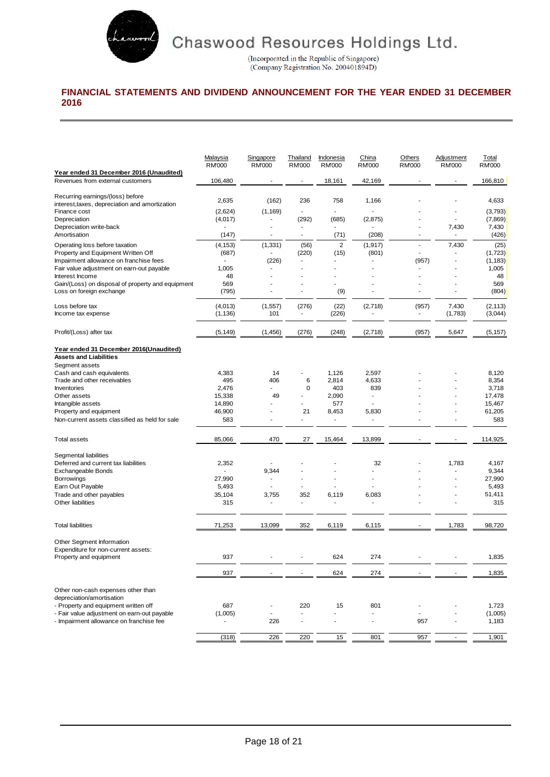

(Incorporated in the Republic of Singapore)<br>(Company Registration No. 200401894D)

# **FINANCIAL STATEMENTS AND DIVIDEND ANNOUNCEMENT FOR THE YEAR ENDED 31 DECEMBER 2016**

|                                                   | Malaysia<br><b>RM'000</b> | Singapore<br><b>RM'000</b> | Thailand<br><b>RM000</b> | Indonesia<br><b>RM'000</b> | China<br><b>RM000</b> | <b>Others</b><br><b>RM'000</b> | <b>Adjustment</b><br><b>RM000</b> | Total<br><b>RM'000</b> |
|---------------------------------------------------|---------------------------|----------------------------|--------------------------|----------------------------|-----------------------|--------------------------------|-----------------------------------|------------------------|
| Year ended 31 December 2016 (Unaudited)           |                           |                            |                          |                            |                       |                                |                                   |                        |
| Revenues from external customers                  | 106,480                   |                            |                          | 18,161                     | 42,169                |                                |                                   | 166,810                |
| Recurring earnings/(loss) before                  | 2,635                     | (162)                      | 236                      | 758                        | 1,166                 |                                |                                   | 4,633                  |
| interest, taxes, depreciation and amortization    |                           |                            |                          |                            |                       |                                |                                   |                        |
| Finance cost                                      | (2,624)                   | (1, 169)                   | ä,                       | $\overline{a}$             |                       |                                |                                   | (3,793)                |
| Depreciation                                      | (4,017)                   |                            | (292)                    | (685)                      | (2,875)               |                                | L,                                | (7, 869)               |
| Depreciation write-back                           |                           |                            |                          |                            |                       |                                | 7,430                             | 7,430                  |
| Amortisation                                      | (147)                     |                            | ä,                       | (71)                       | (208)                 | Ĭ.                             | ä,                                | (426)                  |
| Operating loss before taxation                    | (4, 153)                  | (1, 331)                   | (56)                     | 2                          | (1, 917)              | ä,                             | 7,430                             | (25)                   |
| Property and Equipment Written Off                | (687)                     |                            | (220)                    | (15)                       | (801)                 | $\overline{a}$                 |                                   | (1,723)                |
| Impairment allowance on franchise fees            |                           | (226)                      | ÷.                       |                            |                       | (957)                          | $\overline{\phantom{a}}$          | (1, 183)               |
| Fair value adjustment on earn-out payable         | 1,005                     |                            |                          |                            |                       |                                |                                   | 1,005                  |
| Interest Income                                   | 48                        |                            |                          |                            |                       |                                |                                   | 48                     |
| Gain/(Loss) on disposal of property and equipment | 569                       |                            |                          |                            |                       |                                |                                   | 569                    |
| Loss on foreign exchange                          |                           |                            | ÷,                       |                            |                       | ۰                              |                                   |                        |
|                                                   | (795)                     |                            |                          | (9)                        |                       |                                |                                   | (804)                  |
| Loss before tax                                   | (4,013)                   | (1,557)                    | (276)                    | (22)                       | (2,718)               | (957)                          | 7,430                             | (2, 113)               |
| Income tax expense                                | (1, 136)                  | 101                        | ٠                        | (226)                      |                       | $\frac{1}{2}$                  | (1,783)                           | (3,044)                |
|                                                   |                           |                            |                          |                            |                       |                                |                                   |                        |
| Profit/(Loss) after tax                           | (5, 149)                  | (1, 456)                   | (276)                    | (248)                      | (2,718)               | (957)                          | 5,647                             | (5, 157)               |
| Year ended 31 December 2016(Unaudited)            |                           |                            |                          |                            |                       |                                |                                   |                        |
| <b>Assets and Liabilities</b>                     |                           |                            |                          |                            |                       |                                |                                   |                        |
| Segment assets                                    |                           |                            |                          |                            |                       |                                |                                   |                        |
| Cash and cash equivalents                         | 4,383                     | 14                         |                          | 1,126                      | 2,597                 |                                |                                   | 8,120                  |
| Trade and other receivables                       | 495                       | 406                        | 6                        | 2,814                      | 4,633                 |                                |                                   | 8,354                  |
| Inventories                                       | 2,476                     |                            | 0                        | 403                        | 839                   |                                |                                   | 3,718                  |
| Other assets                                      | 15,338                    | 49                         |                          | 2,090                      | $\blacksquare$        |                                |                                   | 17,478                 |
| Intangible assets                                 | 14,890                    |                            |                          | 577                        |                       |                                |                                   | 15,467                 |
| Property and equipment                            | 46,900                    |                            | 21                       | 8,453                      | 5,830                 |                                |                                   | 61,205                 |
|                                                   |                           |                            |                          |                            |                       |                                |                                   |                        |
| Non-current assets classified as held for sale    | 583                       |                            |                          |                            |                       |                                |                                   | 583                    |
| <b>Total assets</b>                               | 85,066                    | 470                        | 27                       | 15,464                     | 13,899                |                                |                                   | 114,925                |
|                                                   |                           |                            |                          |                            |                       |                                |                                   |                        |
| Segmental liabilities                             |                           |                            |                          |                            |                       |                                |                                   |                        |
| Deferred and current tax liabilities              | 2,352                     |                            |                          |                            | 32                    |                                | 1,783                             | 4,167                  |
| Exchangeable Bonds                                |                           | 9,344                      |                          |                            |                       |                                |                                   | 9,344                  |
| Borrowings                                        | 27,990                    |                            |                          |                            |                       |                                |                                   | 27,990                 |
| Earn Out Payable                                  | 5,493                     |                            |                          |                            |                       |                                |                                   | 5,493                  |
| Trade and other payables                          | 35,104                    | 3,755                      | 352                      | 6,119                      | 6,083                 |                                |                                   | 51,411                 |
| Other liabilities                                 | 315                       |                            | L,                       |                            |                       |                                |                                   | 315                    |
| <b>Total liabilities</b>                          | 71,253                    | 13,099                     |                          |                            |                       |                                |                                   | 98,720                 |
|                                                   |                           |                            | 352                      | 6,119                      | 6,115                 |                                | 1,783                             |                        |
| Other Segment Information                         |                           |                            |                          |                            |                       |                                |                                   |                        |
| Expenditure for non-current assets:               |                           |                            |                          |                            |                       |                                |                                   |                        |
| Property and equipment                            | 937                       |                            |                          | 624                        | 274                   |                                |                                   | 1,835                  |
|                                                   |                           |                            |                          |                            |                       |                                |                                   |                        |
|                                                   | 937                       |                            |                          | 624                        | 274                   |                                |                                   | 1,835                  |
| Other non-cash expenses other than                |                           |                            |                          |                            |                       |                                |                                   |                        |
| depreciation/amortisation                         |                           |                            |                          |                            |                       |                                |                                   |                        |
| - Property and equipment written off              | 687                       |                            | 220                      | 15                         | 801                   |                                |                                   | 1,723                  |
| - Fair value adjustment on earn-out payable       | (1,005)                   | $\blacksquare$             |                          |                            |                       |                                |                                   | (1,005)                |
| - Impairment allowance on franchise fee           |                           | 226                        |                          |                            |                       | 957                            |                                   | 1,183                  |
|                                                   |                           |                            |                          |                            |                       |                                |                                   |                        |
|                                                   | (318)                     | 226                        | 220                      | 15                         | 801                   | 957                            | $\sim$                            | 1,901                  |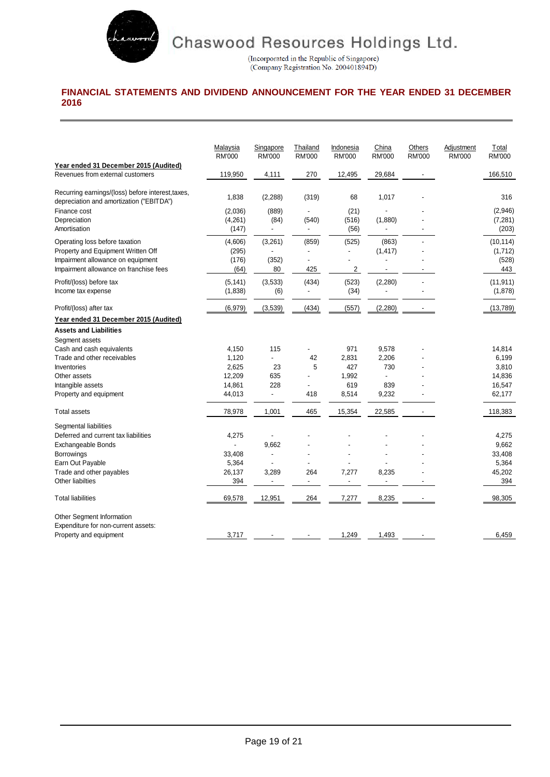

(Incorporated in the Republic of Singapore)<br>(Company Registration No. 200401894D)

# **FINANCIAL STATEMENTS AND DIVIDEND ANNOUNCEMENT FOR THE YEAR ENDED 31 DECEMBER 2016**

|                                                                                               | Malaysia<br><b>RM'000</b> | Singapore<br><b>RM'000</b> | Thailand<br><b>RM'000</b> | Indonesia<br><b>RM'000</b> | China<br><b>RM'000</b> | Others<br><b>RM'000</b>  | Adjustment<br><b>RM'000</b> | Total<br><b>RM'000</b> |
|-----------------------------------------------------------------------------------------------|---------------------------|----------------------------|---------------------------|----------------------------|------------------------|--------------------------|-----------------------------|------------------------|
| Year ended 31 December 2015 (Audited)                                                         |                           |                            |                           |                            |                        |                          |                             |                        |
| Revenues from external customers                                                              | 119,950                   | 4,111                      | 270                       | 12,495                     | 29,684                 |                          |                             | 166,510                |
| Recurring earnings/(loss) before interest, taxes,<br>depreciation and amortization ("EBITDA") | 1,838                     | (2, 288)                   | (319)                     | 68                         | 1,017                  |                          |                             | 316                    |
| Finance cost                                                                                  | (2,036)                   | (889)                      |                           | (21)                       |                        |                          |                             | (2,946)                |
| Depreciation                                                                                  | (4,261)                   | (84)                       | (540)                     | (516)                      | (1,880)                |                          |                             | (7, 281)               |
| Amortisation                                                                                  | (147)                     |                            |                           | (56)                       |                        |                          |                             | (203)                  |
| Operating loss before taxation                                                                | (4,606)                   | (3,261)                    | (859)                     | (525)                      | (863)                  |                          |                             | (10, 114)              |
| Property and Equipment Written Off                                                            | (295)                     |                            |                           |                            | (1, 417)               |                          |                             | (1,712)                |
| Impairment allowance on equipment                                                             | (176)                     | (352)                      | ÷,                        |                            |                        |                          |                             | (528)                  |
| Impairment allowance on franchise fees                                                        | (64)                      | 80                         | 425                       | 2                          | $\blacksquare$         | $\blacksquare$           |                             | 443                    |
| Profit/(loss) before tax                                                                      | (5, 141)                  | (3,533)                    | (434)                     | (523)                      | (2, 280)               |                          |                             | (11, 911)              |
| Income tax expense                                                                            | (1,838)                   | (6)                        | $\blacksquare$            | (34)                       |                        | ٠                        |                             | (1,878)                |
| Profit/(loss) after tax                                                                       | (6,979)                   | (3,539)                    | (434)                     | (557)                      | (2, 280)               |                          |                             | (13, 789)              |
| Year ended 31 December 2015 (Audited)                                                         |                           |                            |                           |                            |                        |                          |                             |                        |
| <b>Assets and Liabilities</b>                                                                 |                           |                            |                           |                            |                        |                          |                             |                        |
| Segment assets                                                                                |                           |                            |                           |                            |                        |                          |                             |                        |
| Cash and cash equivalents                                                                     | 4,150                     | 115                        |                           | 971                        | 9,578                  |                          |                             | 14,814                 |
| Trade and other receivables                                                                   | 1,120                     | L.                         | 42                        | 2,831                      | 2,206                  |                          |                             | 6,199                  |
| Inventories                                                                                   | 2,625                     | 23                         | 5                         | 427                        | 730                    |                          |                             | 3,810                  |
| Other assets                                                                                  | 12,209                    | 635                        |                           | 1,992                      |                        |                          |                             | 14,836                 |
| Intangible assets                                                                             | 14,861                    | 228                        |                           | 619                        | 839                    |                          |                             | 16,547                 |
| Property and equipment                                                                        | 44,013                    | $\overline{\phantom{a}}$   | 418                       | 8,514                      | 9,232                  |                          |                             | 62,177                 |
| <b>Total assets</b>                                                                           | 78,978                    | 1,001                      | 465                       | 15,354                     | 22,585                 |                          |                             | 118,383                |
| Segmental liabilities                                                                         |                           |                            |                           |                            |                        |                          |                             |                        |
| Deferred and current tax liabilities                                                          | 4,275                     |                            |                           |                            |                        |                          |                             | 4,275                  |
| <b>Exchangeable Bonds</b>                                                                     |                           | 9.662                      |                           |                            |                        |                          |                             | 9,662                  |
| <b>Borrowings</b>                                                                             | 33,408                    | ÷,                         |                           |                            |                        |                          |                             | 33,408                 |
| Earn Out Payable                                                                              | 5,364                     |                            |                           |                            |                        |                          |                             | 5,364                  |
| Trade and other payables                                                                      | 26,137                    | 3,289                      | 264                       | 7,277                      | 8,235                  |                          |                             | 45,202                 |
| Other liabilties                                                                              | 394                       | ä,                         | $\overline{a}$            |                            |                        |                          |                             | 394                    |
| <b>Total liabilities</b>                                                                      | 69,578                    | 12,951                     | 264                       | 7,277                      | 8,235                  | $\overline{\phantom{a}}$ |                             | 98,305                 |
| Other Segment Information                                                                     |                           |                            |                           |                            |                        |                          |                             |                        |
| Expenditure for non-current assets:                                                           |                           |                            |                           |                            |                        |                          |                             |                        |
| Property and equipment                                                                        | 3,717                     |                            |                           | 1,249                      | 1,493                  |                          |                             | 6,459                  |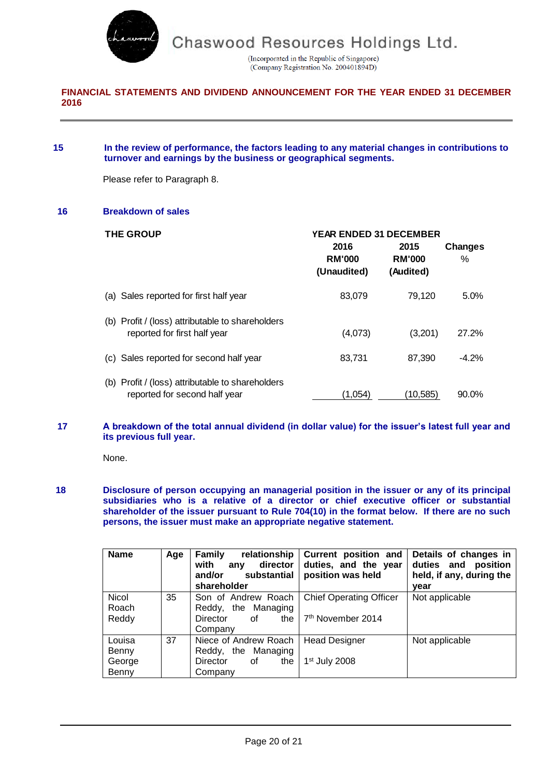

(Incorporated in the Republic of Singapore) (Company Registration No. 200401894D)

## **FINANCIAL STATEMENTS AND DIVIDEND ANNOUNCEMENT FOR THE YEAR ENDED 31 DECEMBER 2016**

### **15 In the review of performance, the factors leading to any material changes in contributions to turnover and earnings by the business or geographical segments.**

Please refer to Paragraph 8.

### **16 Breakdown of sales**

| <b>THE GROUP</b>                                                                     |                                      | <b>YEAR ENDED 31 DECEMBER</b>      |                     |  |  |  |  |
|--------------------------------------------------------------------------------------|--------------------------------------|------------------------------------|---------------------|--|--|--|--|
|                                                                                      | 2016<br><b>RM'000</b><br>(Unaudited) | 2015<br><b>RM'000</b><br>(Audited) | <b>Changes</b><br>℅ |  |  |  |  |
| (a) Sales reported for first half year                                               | 83,079                               | 79.120                             | $5.0\%$             |  |  |  |  |
| (b) Profit / (loss) attributable to shareholders<br>reported for first half year     | (4,073)                              | (3,201)                            | 27.2%               |  |  |  |  |
| Sales reported for second half year<br>(C)                                           | 83,731                               | 87.390                             | $-4.2%$             |  |  |  |  |
| Profit / (loss) attributable to shareholders<br>(b)<br>reported for second half year | (1.054)                              | (10,585)                           | $90.0\%$            |  |  |  |  |

### **17 A breakdown of the total annual dividend (in dollar value) for the issuer's latest full year and its previous full year.**

None.

### **18 Disclosure of person occupying an managerial position in the issuer or any of its principal subsidiaries who is a relative of a director or chief executive officer or substantial shareholder of the issuer pursuant to Rule 704(10) in the format below. If there are no such persons, the issuer must make an appropriate negative statement.**

| <b>Name</b>                        | Age | <b>Family</b><br>relationship<br>with<br>director<br>any<br>substantial<br>and/or<br>shareholder | Current position and<br>duties, and the year<br>position was held | Details of changes in<br>duties and position<br>held, if any, during the<br>year |
|------------------------------------|-----|--------------------------------------------------------------------------------------------------|-------------------------------------------------------------------|----------------------------------------------------------------------------------|
| Nicol<br>Roach<br>Reddy            | 35  | Son of Andrew Roach<br>Reddy, the Managing<br>the<br>Director<br>οf<br>Company                   | <b>Chief Operating Officer</b><br>7 <sup>th</sup> November 2014   | Not applicable                                                                   |
| Louisa<br>Benny<br>George<br>Benny | 37  | Niece of Andrew Roach<br>Reddy, the Managing<br>Director<br>the<br>οf<br>Company                 | <b>Head Designer</b><br>$1st$ July 2008                           | Not applicable                                                                   |